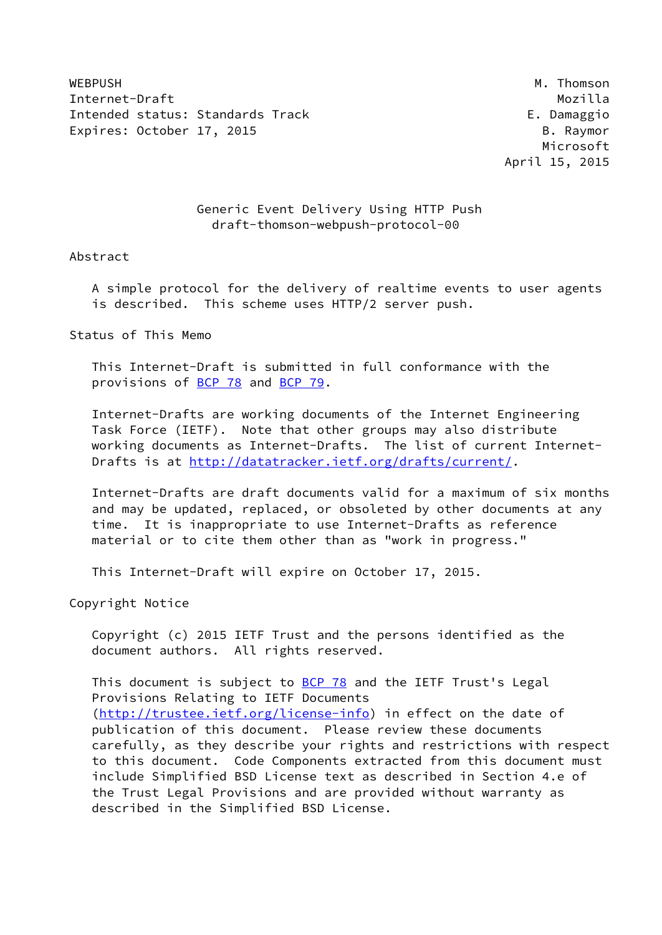WEBPUSH M. Thomson M. Thomson M. Thomson M. Thomson M. Thomson M. Thomson M. Thomson M. Thomson M. Thomson M. Thomson M. Thomson M. Thomson M. Thomson M. Thomson M. Thomson M. Thomson M. Thomson M. Thomson M. Thomson M. Th Internet-Draft Mozilla Intended status: Standards Track E. Damaggio Expires: October 17, 2015 B. Raymor

 Microsoft April 15, 2015

# Generic Event Delivery Using HTTP Push draft-thomson-webpush-protocol-00

#### Abstract

 A simple protocol for the delivery of realtime events to user agents is described. This scheme uses HTTP/2 server push.

Status of This Memo

 This Internet-Draft is submitted in full conformance with the provisions of [BCP 78](https://datatracker.ietf.org/doc/pdf/bcp78) and [BCP 79](https://datatracker.ietf.org/doc/pdf/bcp79).

 Internet-Drafts are working documents of the Internet Engineering Task Force (IETF). Note that other groups may also distribute working documents as Internet-Drafts. The list of current Internet Drafts is at<http://datatracker.ietf.org/drafts/current/>.

 Internet-Drafts are draft documents valid for a maximum of six months and may be updated, replaced, or obsoleted by other documents at any time. It is inappropriate to use Internet-Drafts as reference material or to cite them other than as "work in progress."

This Internet-Draft will expire on October 17, 2015.

Copyright Notice

 Copyright (c) 2015 IETF Trust and the persons identified as the document authors. All rights reserved.

This document is subject to **[BCP 78](https://datatracker.ietf.org/doc/pdf/bcp78)** and the IETF Trust's Legal Provisions Relating to IETF Documents [\(http://trustee.ietf.org/license-info](http://trustee.ietf.org/license-info)) in effect on the date of publication of this document. Please review these documents carefully, as they describe your rights and restrictions with respect to this document. Code Components extracted from this document must include Simplified BSD License text as described in Section 4.e of the Trust Legal Provisions and are provided without warranty as described in the Simplified BSD License.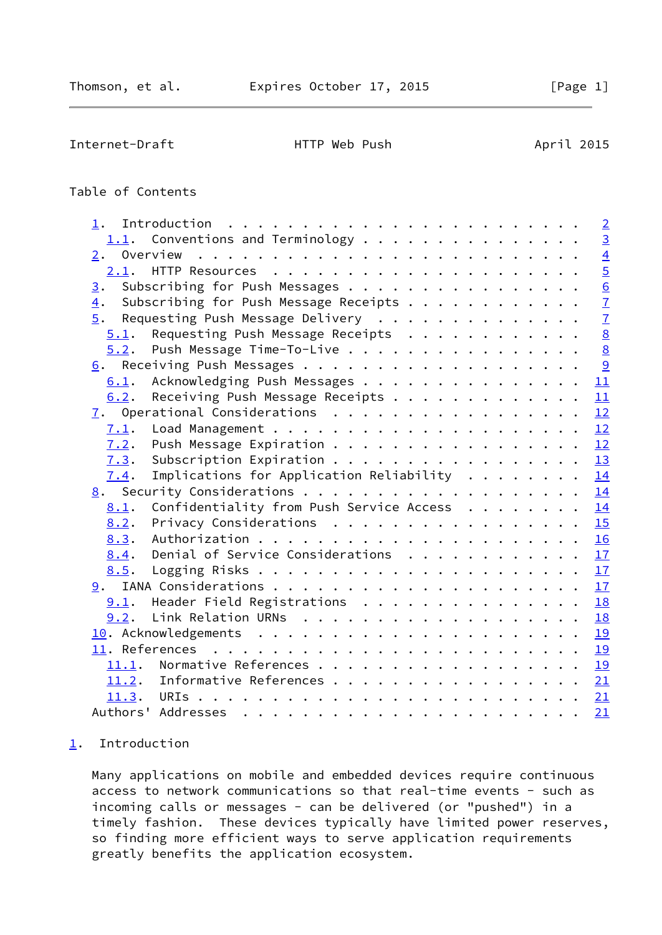<span id="page-1-1"></span>Internet-Draft **HTTP** Web Push April 2015

# Table of Contents

| 1.                                                             | $\overline{2}$  |
|----------------------------------------------------------------|-----------------|
| $1.1$ . Conventions and Terminology                            | $\overline{3}$  |
| 2.                                                             | $\overline{4}$  |
|                                                                | $\overline{5}$  |
| Subscribing for Push Messages<br>3.                            |                 |
| Subscribing for Push Message Receipts<br>4.                    | $\frac{6}{7}$   |
| 5.<br>Requesting Push Message Delivery                         | $\overline{7}$  |
| Requesting Push Message Receipts<br>5.1.                       | $\overline{8}$  |
| Push Message Time-To-Live<br>5.2.                              | $\underline{8}$ |
|                                                                | 9               |
| Acknowledging Push Messages<br>6.1.                            | 11              |
| Receiving Push Message Receipts<br>6.2.                        | 11              |
|                                                                | 12              |
| 7.1.                                                           | 12              |
| Push Message Expiration<br>7.2.                                | 12              |
| Subscription Expiration<br>7.3.                                | 13              |
| Implications for Application Reliability $\dots \dots$<br>7.4. | 14              |
|                                                                | 14              |
| Confidentiality from Push Service Access<br>8.1.               | 14              |
| Privacy Considerations<br>8.2.                                 | 15              |
| 8.3.                                                           | 16              |
| Denial of Service Considerations<br>8.4.                       | 17              |
| 8.5.                                                           | 17              |
|                                                                | 17              |
| Header Field Registrations<br>9.1.                             | 18              |
| 9.2.                                                           | 18              |
|                                                                | 19              |
|                                                                | 19              |
| 11.1.                                                          | 19              |
| 11.2. Informative References 21                                |                 |
|                                                                | 21              |
|                                                                | 21              |

# <span id="page-1-0"></span>[1](#page-1-0). Introduction

 Many applications on mobile and embedded devices require continuous access to network communications so that real-time events - such as incoming calls or messages - can be delivered (or "pushed") in a timely fashion. These devices typically have limited power reserves, so finding more efficient ways to serve application requirements greatly benefits the application ecosystem.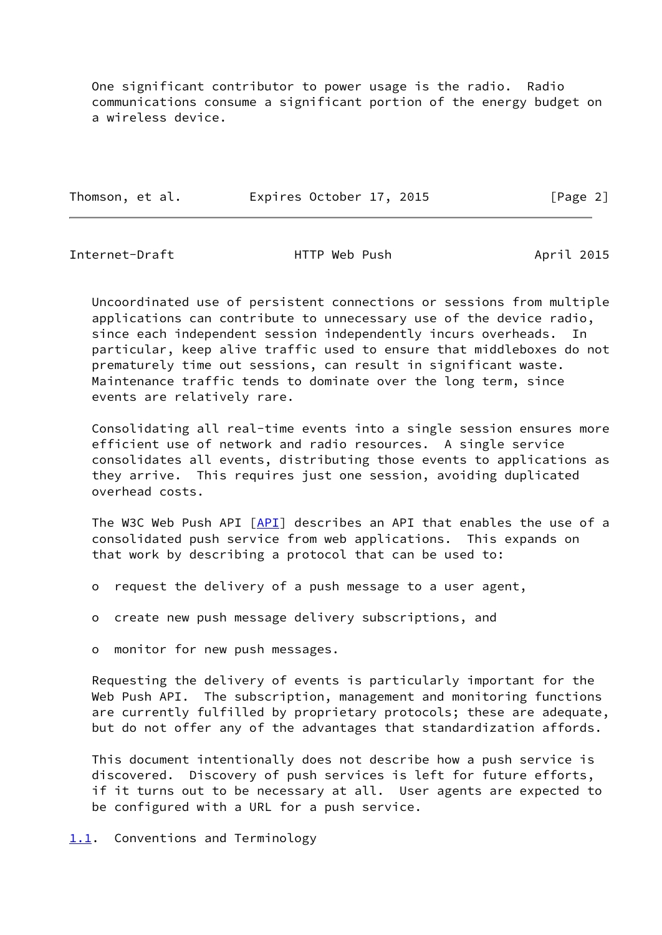One significant contributor to power usage is the radio. Radio communications consume a significant portion of the energy budget on a wireless device.

| Thomson, et al. |  | Expires October 17, 2015 |  | [Page 2] |  |
|-----------------|--|--------------------------|--|----------|--|
|                 |  |                          |  |          |  |

<span id="page-2-1"></span>Internet-Draft HTTP Web Push April 2015

 Uncoordinated use of persistent connections or sessions from multiple applications can contribute to unnecessary use of the device radio, since each independent session independently incurs overheads. In particular, keep alive traffic used to ensure that middleboxes do not prematurely time out sessions, can result in significant waste. Maintenance traffic tends to dominate over the long term, since events are relatively rare.

 Consolidating all real-time events into a single session ensures more efficient use of network and radio resources. A single service consolidates all events, distributing those events to applications as they arrive. This requires just one session, avoiding duplicated overhead costs.

 The W3C Web Push API [\[API](#page-22-3)] describes an API that enables the use of a consolidated push service from web applications. This expands on that work by describing a protocol that can be used to:

- o request the delivery of a push message to a user agent,
- o create new push message delivery subscriptions, and

o monitor for new push messages.

 Requesting the delivery of events is particularly important for the Web Push API. The subscription, management and monitoring functions are currently fulfilled by proprietary protocols; these are adequate, but do not offer any of the advantages that standardization affords.

 This document intentionally does not describe how a push service is discovered. Discovery of push services is left for future efforts, if it turns out to be necessary at all. User agents are expected to be configured with a URL for a push service.

<span id="page-2-0"></span>[1.1](#page-2-0). Conventions and Terminology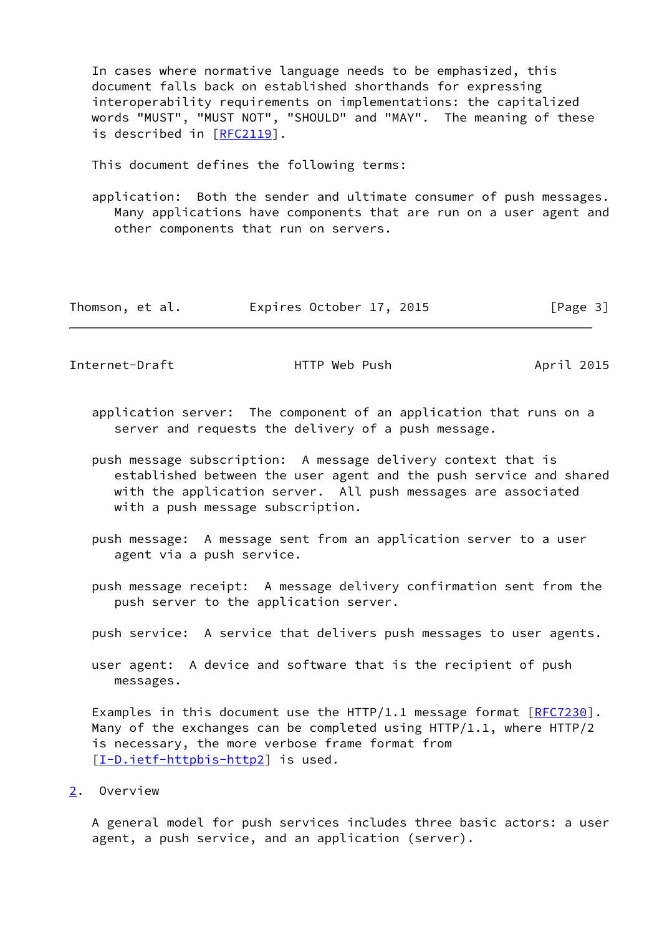In cases where normative language needs to be emphasized, this document falls back on established shorthands for expressing interoperability requirements on implementations: the capitalized words "MUST", "MUST NOT", "SHOULD" and "MAY". The meaning of these is described in [\[RFC2119](https://datatracker.ietf.org/doc/pdf/rfc2119)].

This document defines the following terms:

 application: Both the sender and ultimate consumer of push messages. Many applications have components that are run on a user agent and other components that run on servers.

| Thomson, et al. | Expires October 17, 2015 |  | [Page 3] |
|-----------------|--------------------------|--|----------|
|-----------------|--------------------------|--|----------|

<span id="page-3-1"></span>Internet-Draft **HTTP** Web Push April 2015

- application server: The component of an application that runs on a server and requests the delivery of a push message.
- push message subscription: A message delivery context that is established between the user agent and the push service and shared with the application server. All push messages are associated with a push message subscription.
- push message: A message sent from an application server to a user agent via a push service.
- push message receipt: A message delivery confirmation sent from the push server to the application server.
- push service: A service that delivers push messages to user agents.
- user agent: A device and software that is the recipient of push messages.

Examples in this document use the HTTP/1.1 message format  $[REC7230]$ . Many of the exchanges can be completed using HTTP/1.1, where HTTP/2 is necessary, the more verbose frame format from [\[I-D.ietf-httpbis-http2](#page-21-3)] is used.

<span id="page-3-0"></span>[2](#page-3-0). Overview

 A general model for push services includes three basic actors: a user agent, a push service, and an application (server).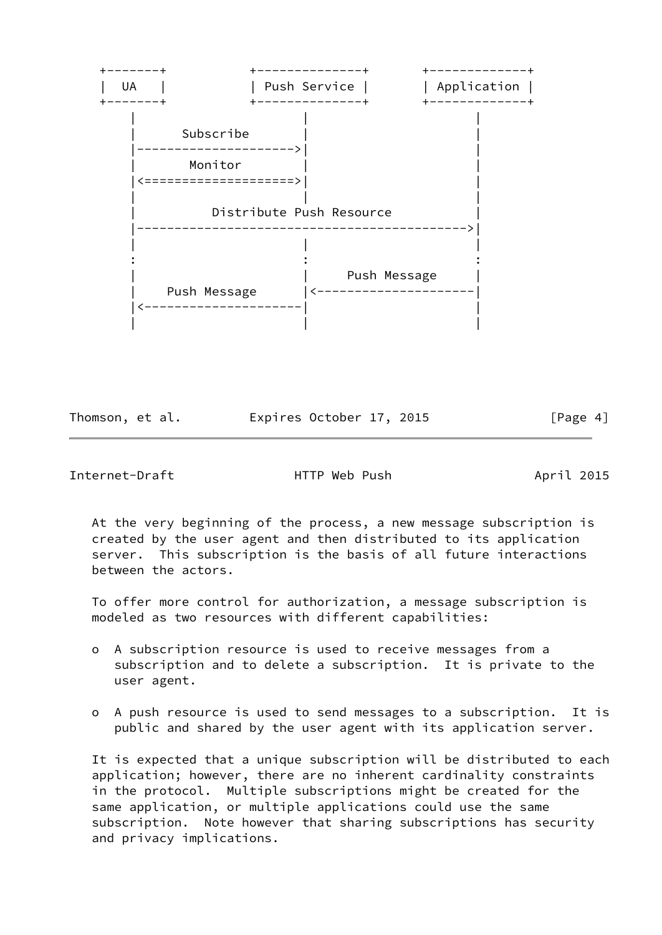

Thomson, et al. Expires October 17, 2015 [Page 4]

<span id="page-4-0"></span>Internet-Draft HTTP Web Push April 2015

 At the very beginning of the process, a new message subscription is created by the user agent and then distributed to its application server. This subscription is the basis of all future interactions between the actors.

 To offer more control for authorization, a message subscription is modeled as two resources with different capabilities:

- o A subscription resource is used to receive messages from a subscription and to delete a subscription. It is private to the user agent.
- o A push resource is used to send messages to a subscription. It is public and shared by the user agent with its application server.

 It is expected that a unique subscription will be distributed to each application; however, there are no inherent cardinality constraints in the protocol. Multiple subscriptions might be created for the same application, or multiple applications could use the same subscription. Note however that sharing subscriptions has security and privacy implications.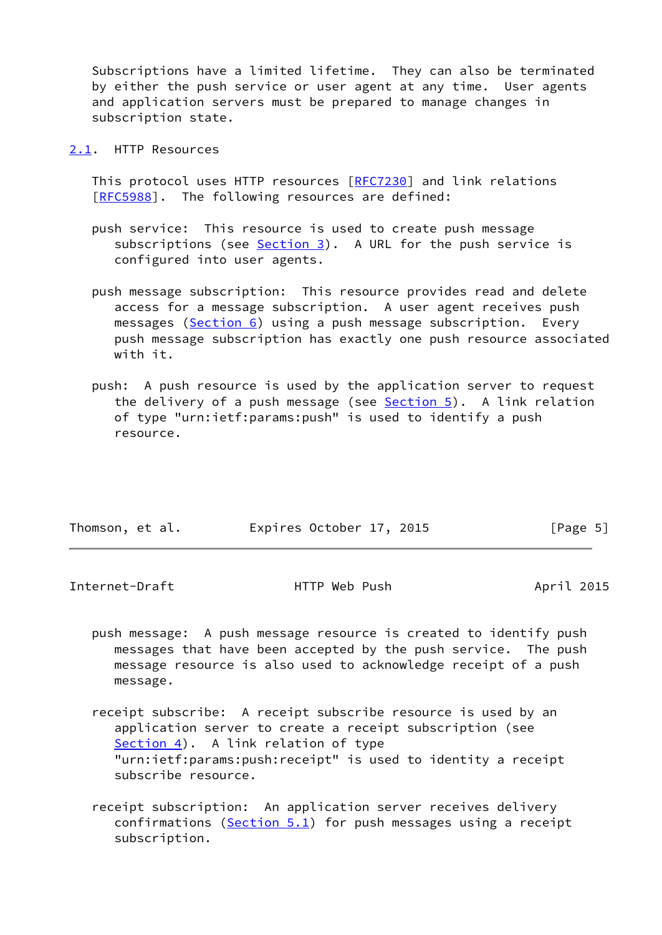Subscriptions have a limited lifetime. They can also be terminated by either the push service or user agent at any time. User agents and application servers must be prepared to manage changes in subscription state.

<span id="page-5-0"></span>[2.1](#page-5-0). HTTP Resources

 This protocol uses HTTP resources [[RFC7230](https://datatracker.ietf.org/doc/pdf/rfc7230)] and link relations [\[RFC5988](https://datatracker.ietf.org/doc/pdf/rfc5988)]. The following resources are defined:

- push service: This resource is used to create push message subscriptions (see  $Section 3$ ). A URL for the push service is configured into user agents.
- push message subscription: This resource provides read and delete access for a message subscription. A user agent receives push messages [\(Section 6](#page-9-0)) using a push message subscription. Every push message subscription has exactly one push resource associated with it.
- push: A push resource is used by the application server to request the delivery of a push message (see  $Section 5$ ). A link relation of type "urn:ietf:params:push" is used to identify a push resource.

| Thomson, et al. | Expires October 17, 2015 | [Page 5] |  |
|-----------------|--------------------------|----------|--|
|                 |                          |          |  |

<span id="page-5-1"></span>Internet-Draft HTTP Web Push April 2015

- push message: A push message resource is created to identify push messages that have been accepted by the push service. The push message resource is also used to acknowledge receipt of a push message.
- receipt subscribe: A receipt subscribe resource is used by an application server to create a receipt subscription (see [Section 4\)](#page-7-0). A link relation of type "urn:ietf:params:push:receipt" is used to identity a receipt subscribe resource.
- receipt subscription: An application server receives delivery confirmations ( $Section 5.1$ ) for push messages using a receipt subscription.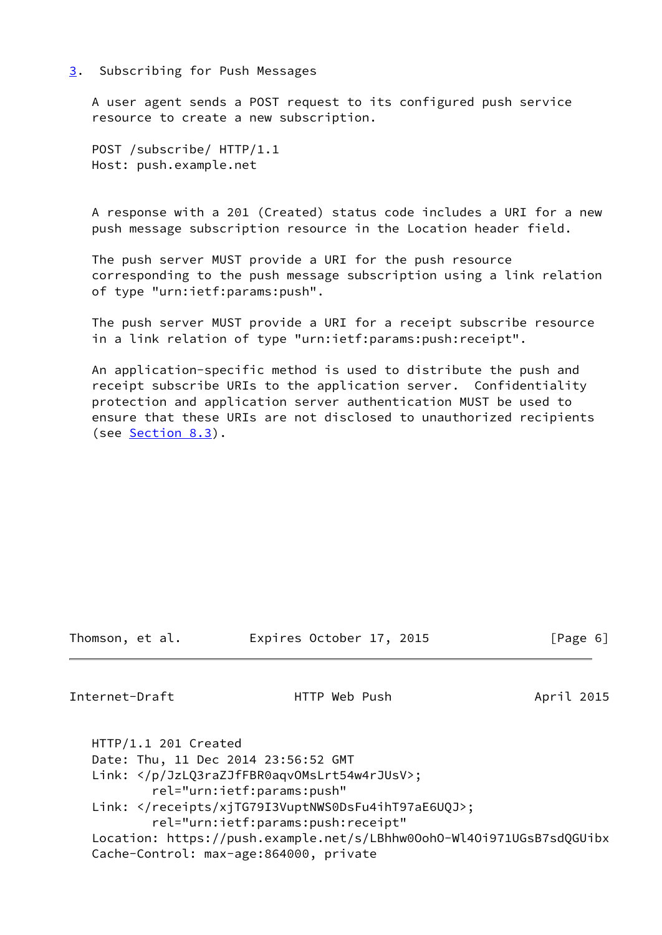#### <span id="page-6-0"></span>[3](#page-6-0). Subscribing for Push Messages

 A user agent sends a POST request to its configured push service resource to create a new subscription.

 POST /subscribe/ HTTP/1.1 Host: push.example.net

 A response with a 201 (Created) status code includes a URI for a new push message subscription resource in the Location header field.

 The push server MUST provide a URI for the push resource corresponding to the push message subscription using a link relation of type "urn:ietf:params:push".

 The push server MUST provide a URI for a receipt subscribe resource in a link relation of type "urn:ietf:params:push:receipt".

 An application-specific method is used to distribute the push and receipt subscribe URIs to the application server. Confidentiality protection and application server authentication MUST be used to ensure that these URIs are not disclosed to unauthorized recipients (see [Section 8.3](#page-17-0)).

Thomson, et al. Expires October 17, 2015 [Page 6]

<span id="page-6-1"></span>Internet-Draft **HTTP** Web Push April 2015

 HTTP/1.1 201 Created Date: Thu, 11 Dec 2014 23:56:52 GMT Link: </p/JzLQ3raZJfFBR0aqvOMsLrt54w4rJUsV>; rel="urn:ietf:params:push" Link: </receipts/xjTG79I3VuptNWS0DsFu4ihT97aE6UQJ>; rel="urn:ietf:params:push:receipt" Location: https://push.example.net/s/LBhhw0OohO-Wl4Oi971UGsB7sdQGUibx Cache-Control: max-age:864000, private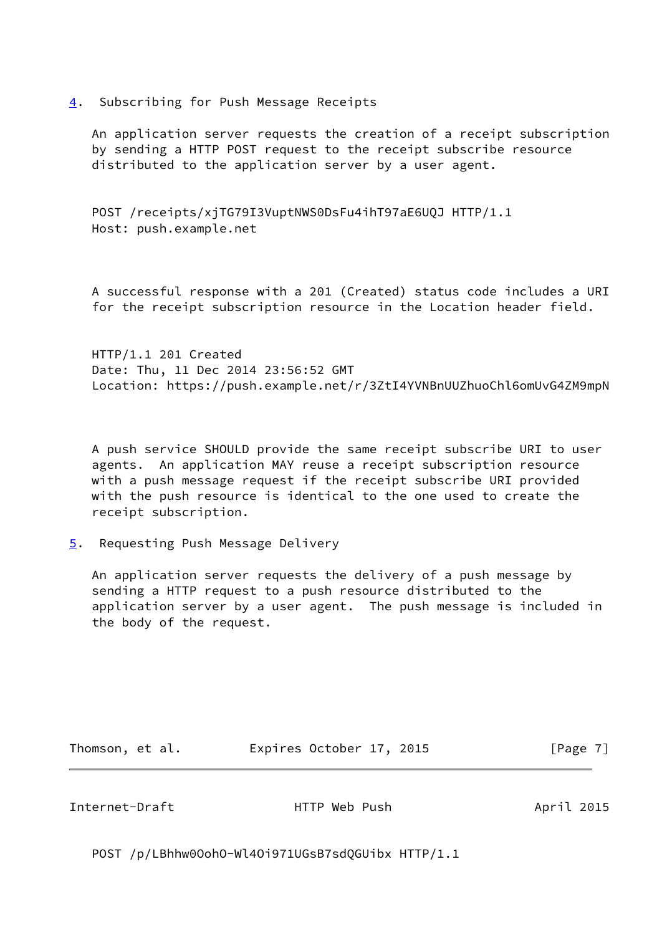<span id="page-7-0"></span>[4](#page-7-0). Subscribing for Push Message Receipts

 An application server requests the creation of a receipt subscription by sending a HTTP POST request to the receipt subscribe resource distributed to the application server by a user agent.

 POST /receipts/xjTG79I3VuptNWS0DsFu4ihT97aE6UQJ HTTP/1.1 Host: push.example.net

 A successful response with a 201 (Created) status code includes a URI for the receipt subscription resource in the Location header field.

 HTTP/1.1 201 Created Date: Thu, 11 Dec 2014 23:56:52 GMT Location: https://push.example.net/r/3ZtI4YVNBnUUZhuoChl6omUvG4ZM9mpN

 A push service SHOULD provide the same receipt subscribe URI to user agents. An application MAY reuse a receipt subscription resource with a push message request if the receipt subscribe URI provided with the push resource is identical to the one used to create the receipt subscription.

<span id="page-7-1"></span>[5](#page-7-1). Requesting Push Message Delivery

 An application server requests the delivery of a push message by sending a HTTP request to a push resource distributed to the application server by a user agent. The push message is included in the body of the request.

Thomson, et al. Expires October 17, 2015 [Page 7]

<span id="page-7-2"></span>Internet-Draft HTTP Web Push April 2015

POST /p/LBhhw0OohO-Wl4Oi971UGsB7sdQGUibx HTTP/1.1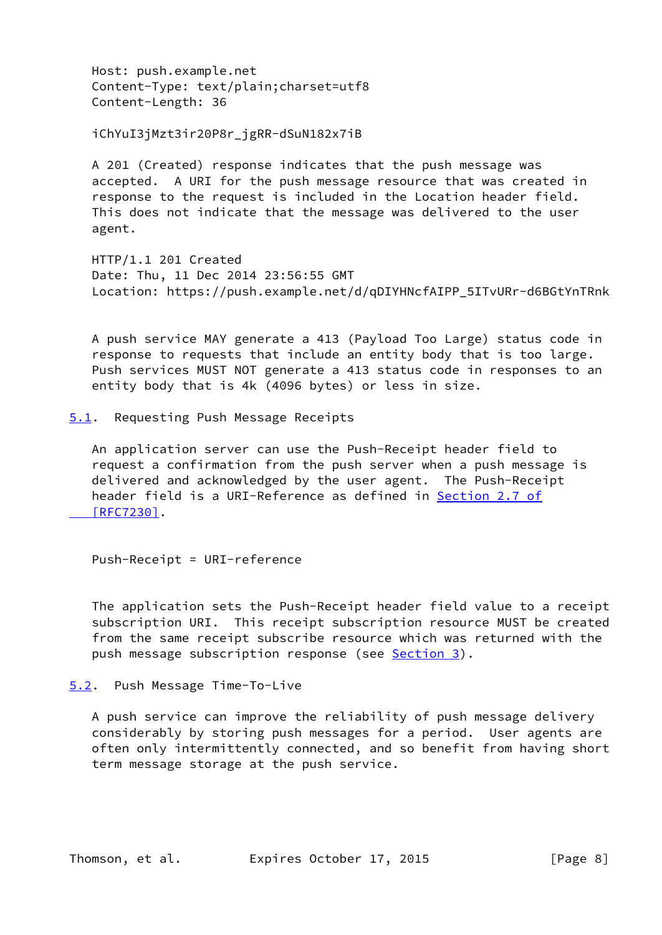Host: push.example.net Content-Type: text/plain;charset=utf8 Content-Length: 36

iChYuI3jMzt3ir20P8r\_jgRR-dSuN182x7iB

 A 201 (Created) response indicates that the push message was accepted. A URI for the push message resource that was created in response to the request is included in the Location header field. This does not indicate that the message was delivered to the user agent.

 HTTP/1.1 201 Created Date: Thu, 11 Dec 2014 23:56:55 GMT Location: https://push.example.net/d/qDIYHNcfAIPP\_5ITvURr-d6BGtYnTRnk

 A push service MAY generate a 413 (Payload Too Large) status code in response to requests that include an entity body that is too large. Push services MUST NOT generate a 413 status code in responses to an entity body that is 4k (4096 bytes) or less in size.

<span id="page-8-0"></span>[5.1](#page-8-0). Requesting Push Message Receipts

 An application server can use the Push-Receipt header field to request a confirmation from the push server when a push message is delivered and acknowledged by the user agent. The Push-Receipt header field is a URI-Reference as defined in [Section](https://datatracker.ietf.org/doc/pdf/rfc7230#section-2.7) 2.7 of  [\[RFC7230\]](https://datatracker.ietf.org/doc/pdf/rfc7230#section-2.7).

Push-Receipt = URI-reference

 The application sets the Push-Receipt header field value to a receipt subscription URI. This receipt subscription resource MUST be created from the same receipt subscribe resource which was returned with the push message subscription response (see [Section 3](#page-6-0)).

<span id="page-8-1"></span>[5.2](#page-8-1). Push Message Time-To-Live

 A push service can improve the reliability of push message delivery considerably by storing push messages for a period. User agents are often only intermittently connected, and so benefit from having short term message storage at the push service.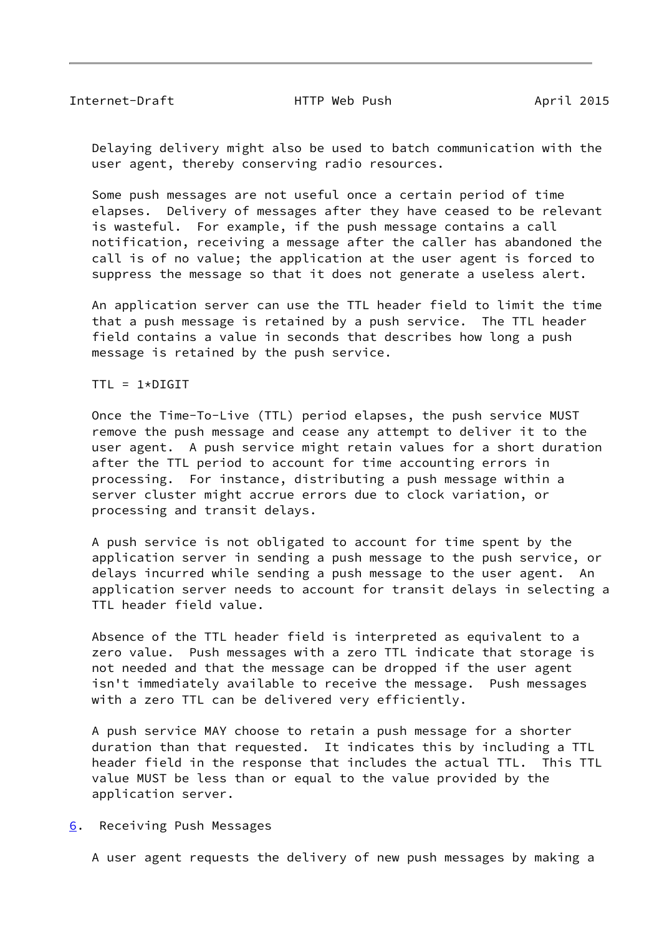<span id="page-9-1"></span> Delaying delivery might also be used to batch communication with the user agent, thereby conserving radio resources.

 Some push messages are not useful once a certain period of time elapses. Delivery of messages after they have ceased to be relevant is wasteful. For example, if the push message contains a call notification, receiving a message after the caller has abandoned the call is of no value; the application at the user agent is forced to suppress the message so that it does not generate a useless alert.

 An application server can use the TTL header field to limit the time that a push message is retained by a push service. The TTL header field contains a value in seconds that describes how long a push message is retained by the push service.

 $TTL = 1 * DIGIT$ 

 Once the Time-To-Live (TTL) period elapses, the push service MUST remove the push message and cease any attempt to deliver it to the user agent. A push service might retain values for a short duration after the TTL period to account for time accounting errors in processing. For instance, distributing a push message within a server cluster might accrue errors due to clock variation, or processing and transit delays.

 A push service is not obligated to account for time spent by the application server in sending a push message to the push service, or delays incurred while sending a push message to the user agent. An application server needs to account for transit delays in selecting a TTL header field value.

 Absence of the TTL header field is interpreted as equivalent to a zero value. Push messages with a zero TTL indicate that storage is not needed and that the message can be dropped if the user agent isn't immediately available to receive the message. Push messages with a zero TTL can be delivered very efficiently.

 A push service MAY choose to retain a push message for a shorter duration than that requested. It indicates this by including a TTL header field in the response that includes the actual TTL. This TTL value MUST be less than or equal to the value provided by the application server.

<span id="page-9-0"></span>[6](#page-9-0). Receiving Push Messages

A user agent requests the delivery of new push messages by making a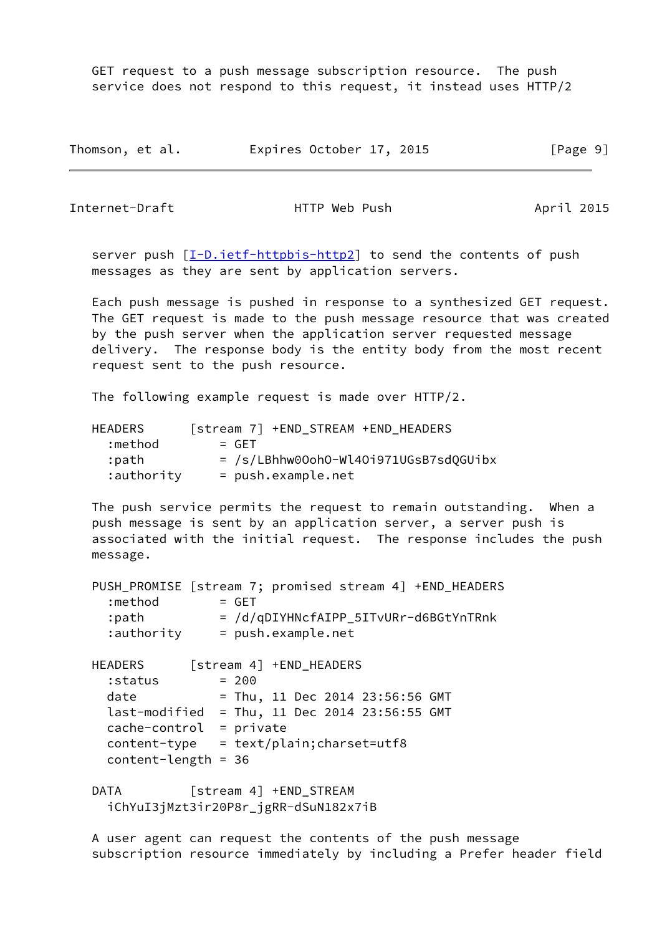GET request to a push message subscription resource. The push service does not respond to this request, it instead uses HTTP/2

| Thomson, et al. | Expires October 17, 2015 |  | [Page 9] |
|-----------------|--------------------------|--|----------|
|-----------------|--------------------------|--|----------|

Internet-Draft **HTTP** Web Push April 2015

server push  $[I-D.ietf-httpbis-http2]$  $[I-D.ietf-httpbis-http2]$  to send the contents of push messages as they are sent by application servers.

 Each push message is pushed in response to a synthesized GET request. The GET request is made to the push message resource that was created by the push server when the application server requested message delivery. The response body is the entity body from the most recent request sent to the push resource.

The following example request is made over HTTP/2.

| HEADERS    | [stream 7] +END STREAM +END HEADERS     |
|------------|-----------------------------------------|
| :method    | $=$ GFT                                 |
| :path      | $=$ /s/LBhhw00oh0-Wl40i971UGsB7sd0GUibx |
| :authority | $= push.example.net$                    |

 The push service permits the request to remain outstanding. When a push message is sent by an application server, a server push is associated with the initial request. The response includes the push message.

 PUSH\_PROMISE [stream 7; promised stream 4] +END\_HEADERS  $:$  method  $=$  GET :path = /d/qDIYHNcfAIPP\_5ITvURr-d6BGtYnTRnk :authority = push.example.net HEADERS [stream 4] +END\_HEADERS  $:$  status  $= 200$  date = Thu, 11 Dec 2014 23:56:56 GMT last-modified = Thu, 11 Dec 2014 23:56:55 GMT cache-control = private content-type = text/plain;charset=utf8 content-length = 36 DATA [stream 4] +END\_STREAM

iChYuI3jMzt3ir20P8r\_jgRR-dSuN182x7iB

 A user agent can request the contents of the push message subscription resource immediately by including a Prefer header field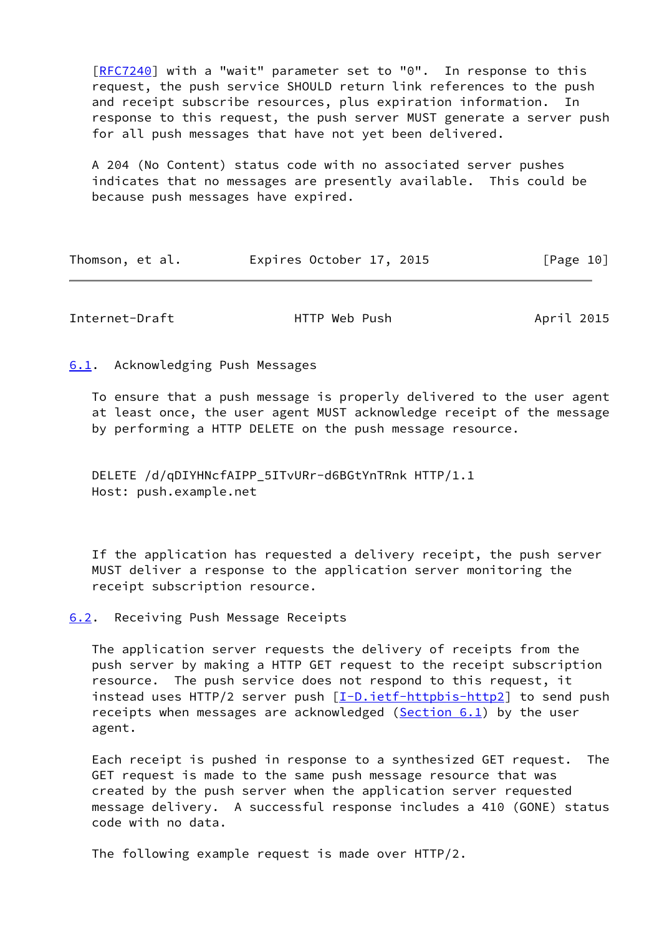[\[RFC7240](https://datatracker.ietf.org/doc/pdf/rfc7240)] with a "wait" parameter set to "0". In response to this request, the push service SHOULD return link references to the push and receipt subscribe resources, plus expiration information. In response to this request, the push server MUST generate a server push for all push messages that have not yet been delivered.

 A 204 (No Content) status code with no associated server pushes indicates that no messages are presently available. This could be because push messages have expired.

| Thomson, et al. |  | Expires October 17, 2015 |  |  | [Page 10] |
|-----------------|--|--------------------------|--|--|-----------|
|-----------------|--|--------------------------|--|--|-----------|

<span id="page-11-1"></span>Internet-Draft HTTP Web Push April 2015

<span id="page-11-0"></span>[6.1](#page-11-0). Acknowledging Push Messages

 To ensure that a push message is properly delivered to the user agent at least once, the user agent MUST acknowledge receipt of the message by performing a HTTP DELETE on the push message resource.

DELETE /d/qDIYHNcfAIPP\_5ITvURr-d6BGtYnTRnk HTTP/1.1 Host: push.example.net

 If the application has requested a delivery receipt, the push server MUST deliver a response to the application server monitoring the receipt subscription resource.

<span id="page-11-2"></span>[6.2](#page-11-2). Receiving Push Message Receipts

 The application server requests the delivery of receipts from the push server by making a HTTP GET request to the receipt subscription resource. The push service does not respond to this request, it instead uses HTTP/2 server push [\[I-D.ietf-httpbis-http2](#page-21-3)] to send push receipts when messages are acknowledged [\(Section 6.1](#page-11-0)) by the user agent.

 Each receipt is pushed in response to a synthesized GET request. The GET request is made to the same push message resource that was created by the push server when the application server requested message delivery. A successful response includes a 410 (GONE) status code with no data.

The following example request is made over HTTP/2.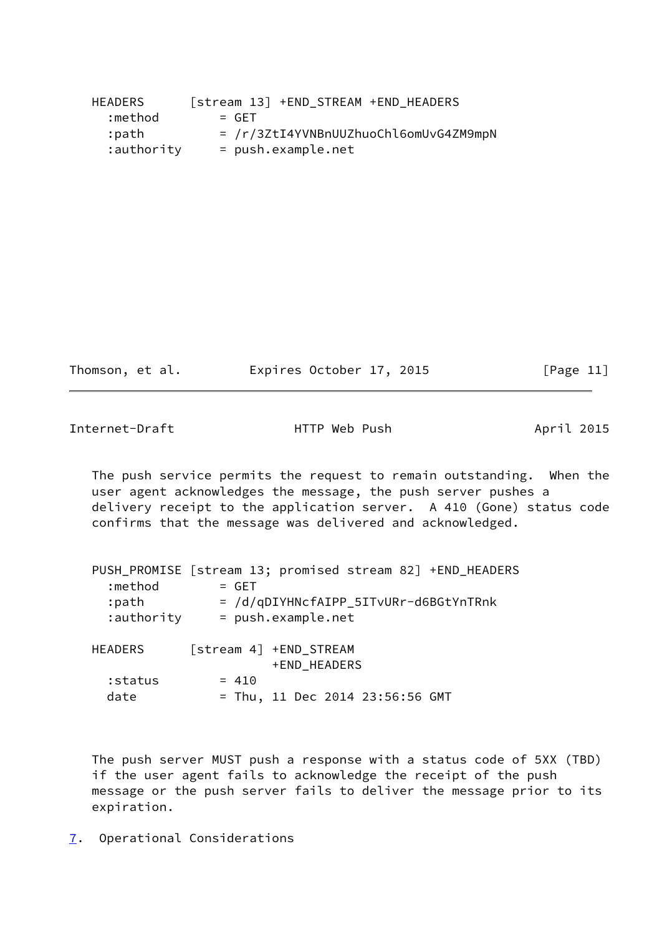| HEADERS    | [stream 13] +END STREAM +END HEADERS  |
|------------|---------------------------------------|
| :method    | $=$ GFT                               |
| :path      | = /r/3ZtI4YVNBnUUZhuoChl6omUvG4ZM9mpN |
| :authority | $= push.example.net$                  |

| Thomson, et al. | Expires October 17, 2015 |  | [Page 11] |
|-----------------|--------------------------|--|-----------|
|-----------------|--------------------------|--|-----------|

<span id="page-12-1"></span>Internet-Draft **HTTP** Web Push April 2015

 The push service permits the request to remain outstanding. When the user agent acknowledges the message, the push server pushes a delivery receipt to the application server. A 410 (Gone) status code confirms that the message was delivered and acknowledged.

|                | PUSH_PROMISE [stream 13; promised stream 82] +END_HEADERS |
|----------------|-----------------------------------------------------------|
| :method        | $=$ GET                                                   |
| :path          | = /d/qDIYHNcfAIPP_5ITvURr-d6BGtYnTRnk                     |
| :authority     | = push.example.net                                        |
|                |                                                           |
| <b>HEADERS</b> | [stream 4] +END STREAM                                    |
|                | +END HEADERS                                              |
| :status        | $= 410$                                                   |
|                |                                                           |

date = Thu, 11 Dec 2014 23:56:56 GMT

 The push server MUST push a response with a status code of 5XX (TBD) if the user agent fails to acknowledge the receipt of the push message or the push server fails to deliver the message prior to its expiration.

<span id="page-12-0"></span>[7](#page-12-0). Operational Considerations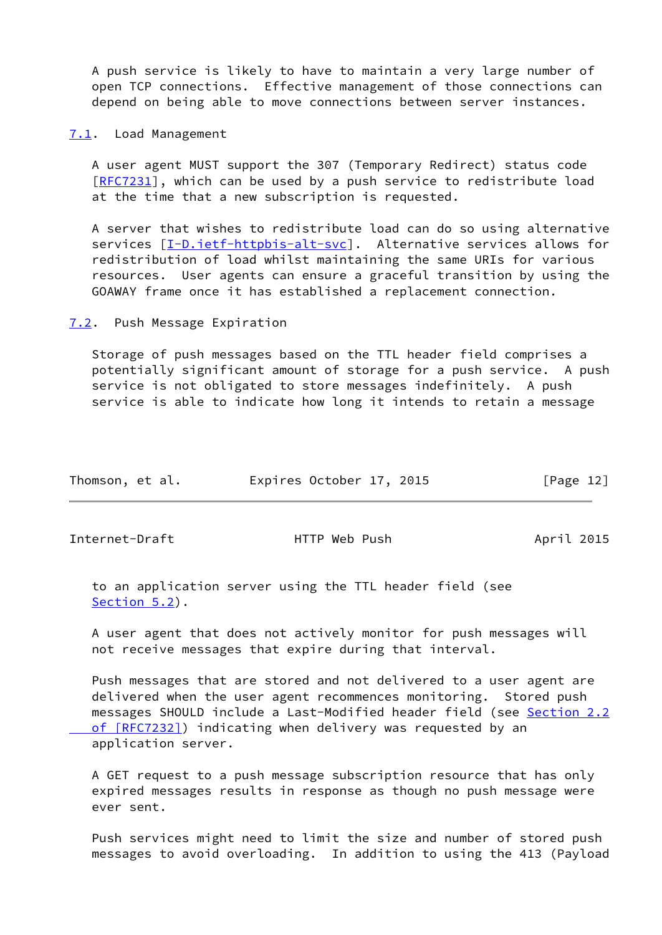A push service is likely to have to maintain a very large number of open TCP connections. Effective management of those connections can depend on being able to move connections between server instances.

<span id="page-13-0"></span>[7.1](#page-13-0). Load Management

 A user agent MUST support the 307 (Temporary Redirect) status code [\[RFC7231](https://datatracker.ietf.org/doc/pdf/rfc7231)], which can be used by a push service to redistribute load at the time that a new subscription is requested.

 A server that wishes to redistribute load can do so using alternative services [\[I-D.ietf-httpbis-alt-svc](#page-21-4)]. Alternative services allows for redistribution of load whilst maintaining the same URIs for various resources. User agents can ensure a graceful transition by using the GOAWAY frame once it has established a replacement connection.

<span id="page-13-1"></span>[7.2](#page-13-1). Push Message Expiration

 Storage of push messages based on the TTL header field comprises a potentially significant amount of storage for a push service. A push service is not obligated to store messages indefinitely. A push service is able to indicate how long it intends to retain a message

| Thomson, et al. | Expires October 17, 2015 | [Page 12] |
|-----------------|--------------------------|-----------|
|                 |                          |           |

<span id="page-13-2"></span>Internet-Draft **HTTP** Web Push April 2015

 to an application server using the TTL header field (see [Section 5.2](#page-8-1)).

 A user agent that does not actively monitor for push messages will not receive messages that expire during that interval.

 Push messages that are stored and not delivered to a user agent are delivered when the user agent recommences monitoring. Stored push messages SHOULD include a Last-Modified header field (see [Section](https://datatracker.ietf.org/doc/pdf/rfc7232#section-2.2) 2.2 of [RFC7232]) indicating when delivery was requested by an application server.

 A GET request to a push message subscription resource that has only expired messages results in response as though no push message were ever sent.

 Push services might need to limit the size and number of stored push messages to avoid overloading. In addition to using the 413 (Payload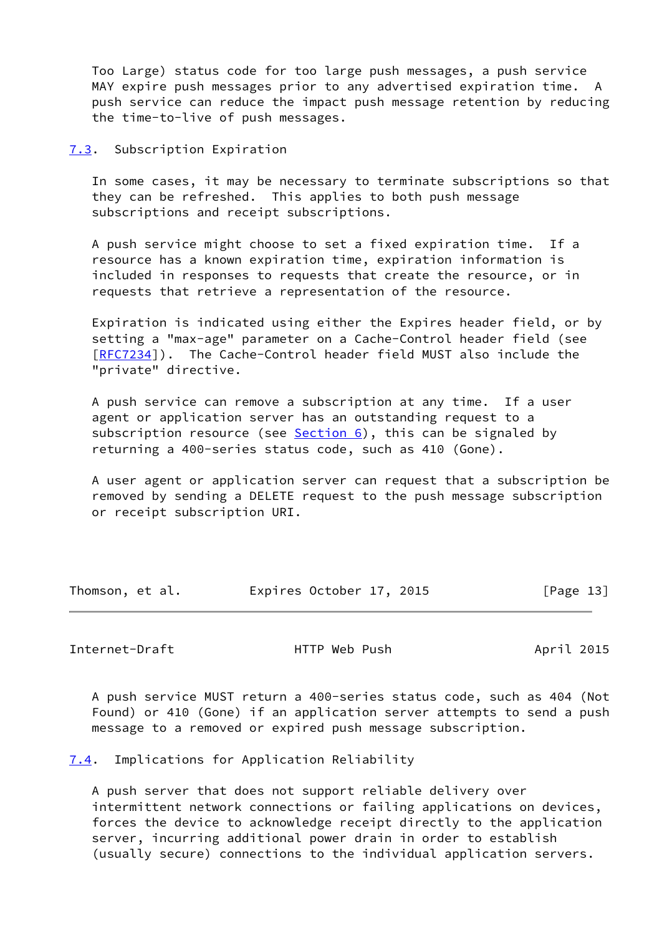Too Large) status code for too large push messages, a push service MAY expire push messages prior to any advertised expiration time. A push service can reduce the impact push message retention by reducing the time-to-live of push messages.

<span id="page-14-0"></span>[7.3](#page-14-0). Subscription Expiration

 In some cases, it may be necessary to terminate subscriptions so that they can be refreshed. This applies to both push message subscriptions and receipt subscriptions.

 A push service might choose to set a fixed expiration time. If a resource has a known expiration time, expiration information is included in responses to requests that create the resource, or in requests that retrieve a representation of the resource.

 Expiration is indicated using either the Expires header field, or by setting a "max-age" parameter on a Cache-Control header field (see [\[RFC7234](https://datatracker.ietf.org/doc/pdf/rfc7234)]). The Cache-Control header field MUST also include the "private" directive.

 A push service can remove a subscription at any time. If a user agent or application server has an outstanding request to a subscription resource (see **[Section 6\)](#page-9-0)**, this can be signaled by returning a 400-series status code, such as 410 (Gone).

 A user agent or application server can request that a subscription be removed by sending a DELETE request to the push message subscription or receipt subscription URI.

| Thomson, et al. | Expires October 17, 2015 | [Page 13] |
|-----------------|--------------------------|-----------|
|-----------------|--------------------------|-----------|

<span id="page-14-2"></span>Internet-Draft **HTTP** Web Push April 2015

 A push service MUST return a 400-series status code, such as 404 (Not Found) or 410 (Gone) if an application server attempts to send a push message to a removed or expired push message subscription.

<span id="page-14-1"></span>[7.4](#page-14-1). Implications for Application Reliability

 A push server that does not support reliable delivery over intermittent network connections or failing applications on devices, forces the device to acknowledge receipt directly to the application server, incurring additional power drain in order to establish (usually secure) connections to the individual application servers.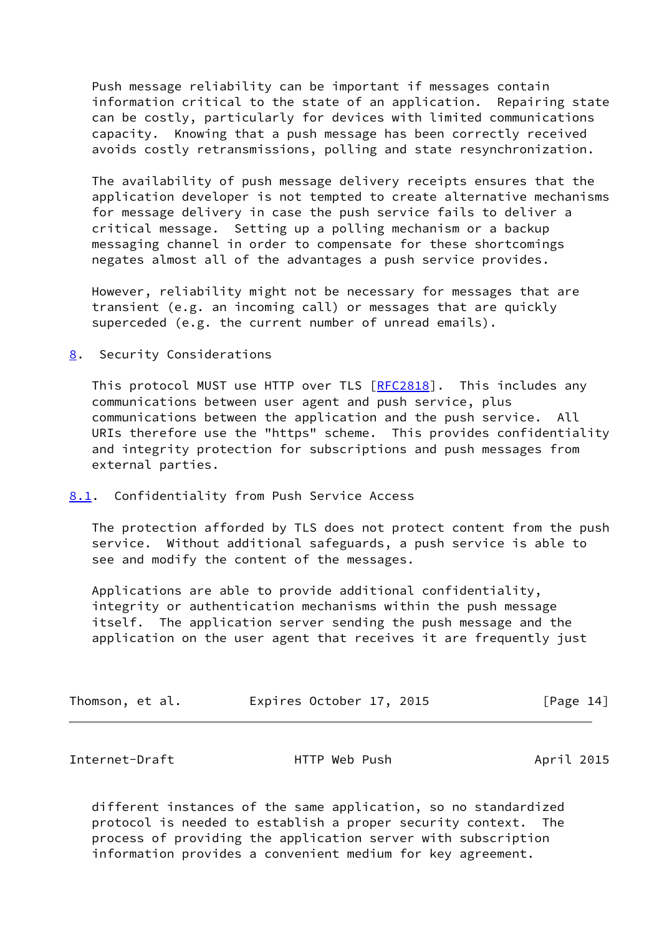Push message reliability can be important if messages contain information critical to the state of an application. Repairing state can be costly, particularly for devices with limited communications capacity. Knowing that a push message has been correctly received avoids costly retransmissions, polling and state resynchronization.

 The availability of push message delivery receipts ensures that the application developer is not tempted to create alternative mechanisms for message delivery in case the push service fails to deliver a critical message. Setting up a polling mechanism or a backup messaging channel in order to compensate for these shortcomings negates almost all of the advantages a push service provides.

 However, reliability might not be necessary for messages that are transient (e.g. an incoming call) or messages that are quickly superceded (e.g. the current number of unread emails).

<span id="page-15-0"></span>[8](#page-15-0). Security Considerations

This protocol MUST use HTTP over TLS [\[RFC2818](https://datatracker.ietf.org/doc/pdf/rfc2818)]. This includes any communications between user agent and push service, plus communications between the application and the push service. All URIs therefore use the "https" scheme. This provides confidentiality and integrity protection for subscriptions and push messages from external parties.

<span id="page-15-1"></span>[8.1](#page-15-1). Confidentiality from Push Service Access

 The protection afforded by TLS does not protect content from the push service. Without additional safeguards, a push service is able to see and modify the content of the messages.

 Applications are able to provide additional confidentiality, integrity or authentication mechanisms within the push message itself. The application server sending the push message and the application on the user agent that receives it are frequently just

| Thomson, et al. | Expires October 17, 2015 | [Page 14] |
|-----------------|--------------------------|-----------|
|-----------------|--------------------------|-----------|

<span id="page-15-2"></span>Internet-Draft HTTP Web Push April 2015

 different instances of the same application, so no standardized protocol is needed to establish a proper security context. The process of providing the application server with subscription information provides a convenient medium for key agreement.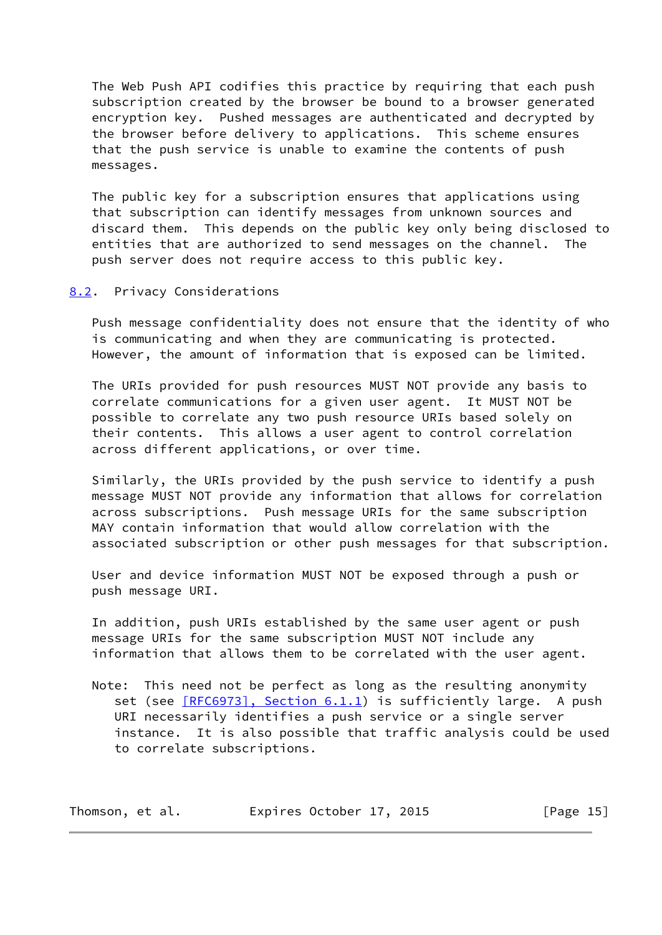The Web Push API codifies this practice by requiring that each push subscription created by the browser be bound to a browser generated encryption key. Pushed messages are authenticated and decrypted by the browser before delivery to applications. This scheme ensures that the push service is unable to examine the contents of push messages.

 The public key for a subscription ensures that applications using that subscription can identify messages from unknown sources and discard them. This depends on the public key only being disclosed to entities that are authorized to send messages on the channel. The push server does not require access to this public key.

### <span id="page-16-0"></span>[8.2](#page-16-0). Privacy Considerations

 Push message confidentiality does not ensure that the identity of who is communicating and when they are communicating is protected. However, the amount of information that is exposed can be limited.

 The URIs provided for push resources MUST NOT provide any basis to correlate communications for a given user agent. It MUST NOT be possible to correlate any two push resource URIs based solely on their contents. This allows a user agent to control correlation across different applications, or over time.

 Similarly, the URIs provided by the push service to identify a push message MUST NOT provide any information that allows for correlation across subscriptions. Push message URIs for the same subscription MAY contain information that would allow correlation with the associated subscription or other push messages for that subscription.

 User and device information MUST NOT be exposed through a push or push message URI.

 In addition, push URIs established by the same user agent or push message URIs for the same subscription MUST NOT include any information that allows them to be correlated with the user agent.

 Note: This need not be perfect as long as the resulting anonymity set (see [\[RFC6973\], Section](https://datatracker.ietf.org/doc/pdf/rfc6973#section-6.1.1) 6.1.1) is sufficiently large. A push URI necessarily identifies a push service or a single server instance. It is also possible that traffic analysis could be used to correlate subscriptions.

| Thomson, et al. | Expires October 17, 2015 | [Page 15] |
|-----------------|--------------------------|-----------|
|-----------------|--------------------------|-----------|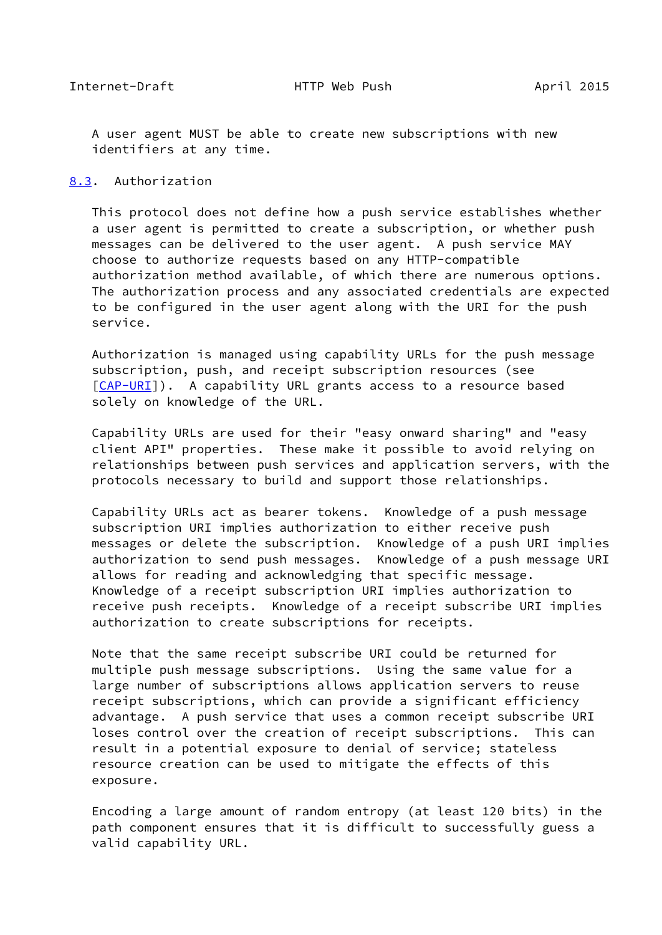<span id="page-17-1"></span> A user agent MUST be able to create new subscriptions with new identifiers at any time.

#### <span id="page-17-0"></span>[8.3](#page-17-0). Authorization

 This protocol does not define how a push service establishes whether a user agent is permitted to create a subscription, or whether push messages can be delivered to the user agent. A push service MAY choose to authorize requests based on any HTTP-compatible authorization method available, of which there are numerous options. The authorization process and any associated credentials are expected to be configured in the user agent along with the URI for the push service.

 Authorization is managed using capability URLs for the push message subscription, push, and receipt subscription resources (see [\[CAP-URI](#page-21-5)]). A capability URL grants access to a resource based solely on knowledge of the URL.

 Capability URLs are used for their "easy onward sharing" and "easy client API" properties. These make it possible to avoid relying on relationships between push services and application servers, with the protocols necessary to build and support those relationships.

 Capability URLs act as bearer tokens. Knowledge of a push message subscription URI implies authorization to either receive push messages or delete the subscription. Knowledge of a push URI implies authorization to send push messages. Knowledge of a push message URI allows for reading and acknowledging that specific message. Knowledge of a receipt subscription URI implies authorization to receive push receipts. Knowledge of a receipt subscribe URI implies authorization to create subscriptions for receipts.

 Note that the same receipt subscribe URI could be returned for multiple push message subscriptions. Using the same value for a large number of subscriptions allows application servers to reuse receipt subscriptions, which can provide a significant efficiency advantage. A push service that uses a common receipt subscribe URI loses control over the creation of receipt subscriptions. This can result in a potential exposure to denial of service; stateless resource creation can be used to mitigate the effects of this exposure.

 Encoding a large amount of random entropy (at least 120 bits) in the path component ensures that it is difficult to successfully guess a valid capability URL.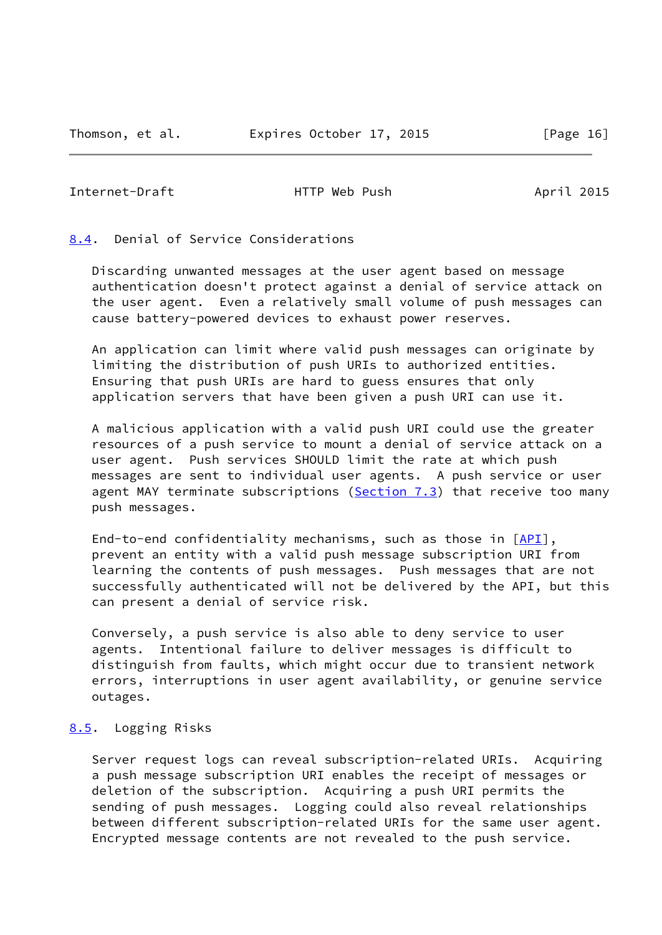<span id="page-18-1"></span>Internet-Draft **HTTP** Web Push April 2015

## <span id="page-18-0"></span>[8.4](#page-18-0). Denial of Service Considerations

 Discarding unwanted messages at the user agent based on message authentication doesn't protect against a denial of service attack on the user agent. Even a relatively small volume of push messages can cause battery-powered devices to exhaust power reserves.

 An application can limit where valid push messages can originate by limiting the distribution of push URIs to authorized entities. Ensuring that push URIs are hard to guess ensures that only application servers that have been given a push URI can use it.

 A malicious application with a valid push URI could use the greater resources of a push service to mount a denial of service attack on a user agent. Push services SHOULD limit the rate at which push messages are sent to individual user agents. A push service or user agent MAY terminate subscriptions ( $Section 7.3$ ) that receive too many push messages.

End-to-end confidentiality mechanisms, such as those in [\[API](#page-22-3)], prevent an entity with a valid push message subscription URI from learning the contents of push messages. Push messages that are not successfully authenticated will not be delivered by the API, but this can present a denial of service risk.

 Conversely, a push service is also able to deny service to user agents. Intentional failure to deliver messages is difficult to distinguish from faults, which might occur due to transient network errors, interruptions in user agent availability, or genuine service outages.

## <span id="page-18-2"></span>[8.5](#page-18-2). Logging Risks

 Server request logs can reveal subscription-related URIs. Acquiring a push message subscription URI enables the receipt of messages or deletion of the subscription. Acquiring a push URI permits the sending of push messages. Logging could also reveal relationships between different subscription-related URIs for the same user agent. Encrypted message contents are not revealed to the push service.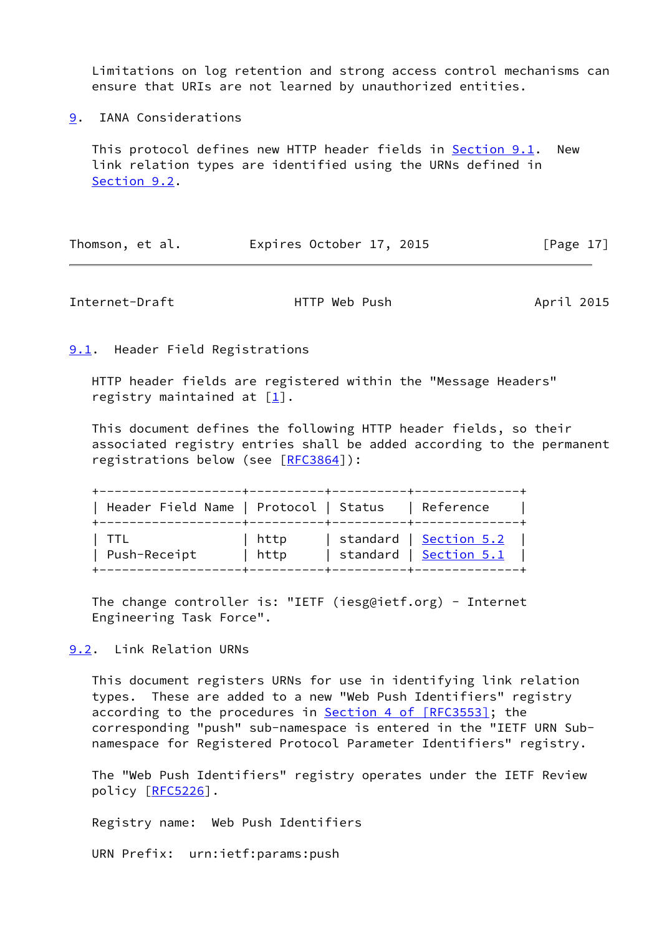Limitations on log retention and strong access control mechanisms can ensure that URIs are not learned by unauthorized entities.

<span id="page-19-0"></span>[9](#page-19-0). IANA Considerations

 This protocol defines new HTTP header fields in [Section 9.1](#page-19-1). New link relation types are identified using the URNs defined in [Section 9.2](#page-19-3).

| Thomson, et al. |  | Expires October 17, 2015 |  |  | [Page 17] |
|-----------------|--|--------------------------|--|--|-----------|
|-----------------|--|--------------------------|--|--|-----------|

<span id="page-19-2"></span>Internet-Draft **HTTP** Web Push April 2015

<span id="page-19-1"></span>**[9.1](#page-19-1).** Header Field Registrations

 HTTP header fields are registered within the "Message Headers" registry maintained at  $\lceil \frac{1}{2} \rceil$ .

 This document defines the following HTTP header fields, so their associated registry entries shall be added according to the permanent registrations below (see [\[RFC3864](https://datatracker.ietf.org/doc/pdf/rfc3864)]):

| Header Field Name   Protocol   Status |              | Reference                                                                            |
|---------------------------------------|--------------|--------------------------------------------------------------------------------------|
| Push-Receipt                          | http<br>http | standard   <u>Section 5.2</u><br>standard   Section 5.1<br>-+----------+------------ |

 The change controller is: "IETF (iesg@ietf.org) - Internet Engineering Task Force".

<span id="page-19-3"></span>[9.2](#page-19-3). Link Relation URNs

 This document registers URNs for use in identifying link relation types. These are added to a new "Web Push Identifiers" registry according to the procedures in Section [4 of \[RFC3553\]](https://datatracker.ietf.org/doc/pdf/rfc3553#section-4); the corresponding "push" sub-namespace is entered in the "IETF URN Sub namespace for Registered Protocol Parameter Identifiers" registry.

 The "Web Push Identifiers" registry operates under the IETF Review policy [\[RFC5226](https://datatracker.ietf.org/doc/pdf/rfc5226)].

Registry name: Web Push Identifiers

URN Prefix: urn:ietf:params:push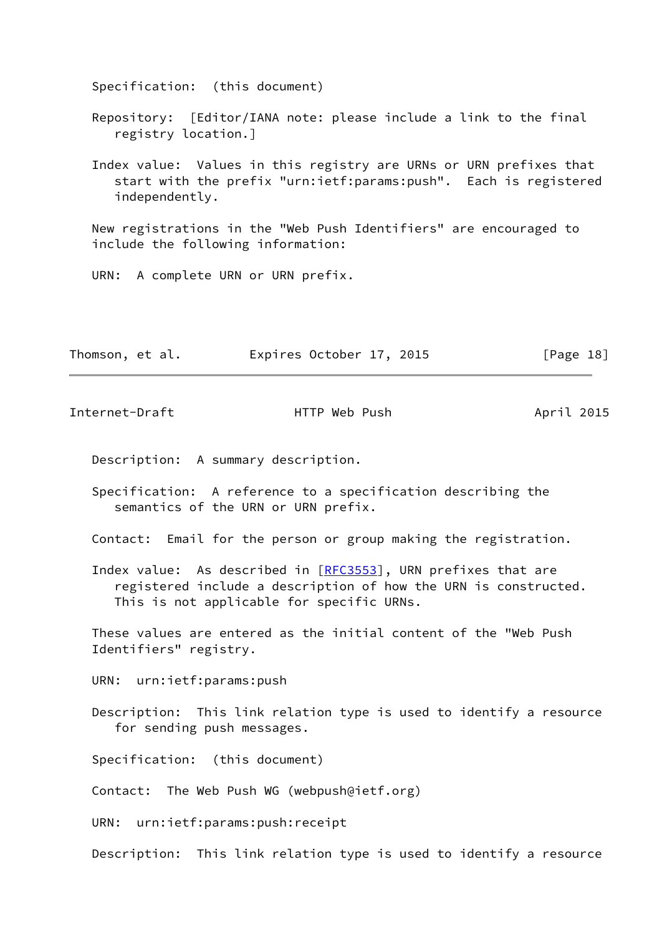Specification: (this document)

- Repository: [Editor/IANA note: please include a link to the final registry location.]
- Index value: Values in this registry are URNs or URN prefixes that start with the prefix "urn:ietf:params:push". Each is registered independently.

 New registrations in the "Web Push Identifiers" are encouraged to include the following information:

URN: A complete URN or URN prefix.

| Thomson, et al. | Expires October 17, 2015 |  | [Page 18] |
|-----------------|--------------------------|--|-----------|
|-----------------|--------------------------|--|-----------|

<span id="page-20-0"></span>Internet-Draft **HTTP** Web Push April 2015

- Description: A summary description.
- Specification: A reference to a specification describing the semantics of the URN or URN prefix.
- Contact: Email for the person or group making the registration.
- Index value: As described in [[RFC3553](https://datatracker.ietf.org/doc/pdf/rfc3553)], URN prefixes that are registered include a description of how the URN is constructed. This is not applicable for specific URNs.

 These values are entered as the initial content of the "Web Push Identifiers" registry.

- URN: urn:ietf:params:push
- Description: This link relation type is used to identify a resource for sending push messages.

Specification: (this document)

Contact: The Web Push WG (webpush@ietf.org)

URN: urn:ietf:params:push:receipt

Description: This link relation type is used to identify a resource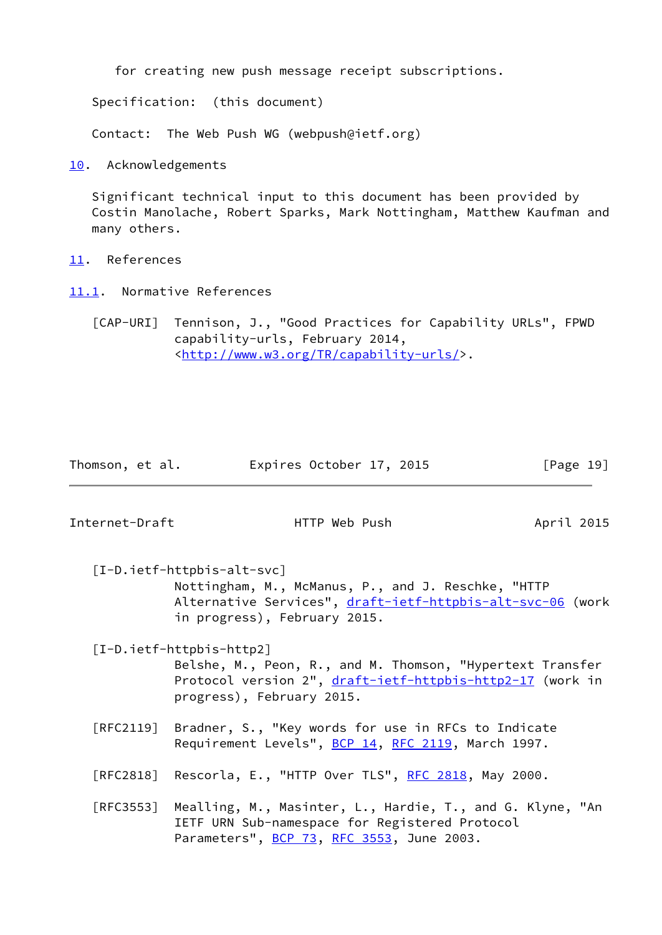for creating new push message receipt subscriptions.

Specification: (this document)

Contact: The Web Push WG (webpush@ietf.org)

<span id="page-21-0"></span>[10.](#page-21-0) Acknowledgements

 Significant technical input to this document has been provided by Costin Manolache, Robert Sparks, Mark Nottingham, Matthew Kaufman and many others.

- <span id="page-21-1"></span>[11.](#page-21-1) References
- <span id="page-21-2"></span>[11.1](#page-21-2). Normative References

<span id="page-21-5"></span> [CAP-URI] Tennison, J., "Good Practices for Capability URLs", FPWD capability-urls, February 2014, <[http://www.w3.org/TR/capability-urls/>](http://www.w3.org/TR/capability-urls/).

| Thomson, et al. | Expires October 17, 2015 |  | [Page 19] |
|-----------------|--------------------------|--|-----------|
|-----------------|--------------------------|--|-----------|

Internet-Draft HTTP Web Push April 2015

<span id="page-21-4"></span> [I-D.ietf-httpbis-alt-svc] Nottingham, M., McManus, P., and J. Reschke, "HTTP Alternative Services", [draft-ietf-httpbis-alt-svc-06](https://datatracker.ietf.org/doc/pdf/draft-ietf-httpbis-alt-svc-06) (work in progress), February 2015.

<span id="page-21-3"></span> [I-D.ietf-httpbis-http2] Belshe, M., Peon, R., and M. Thomson, "Hypertext Transfer Protocol version 2", [draft-ietf-httpbis-http2-17](https://datatracker.ietf.org/doc/pdf/draft-ietf-httpbis-http2-17) (work in progress), February 2015.

- [RFC2119] Bradner, S., "Key words for use in RFCs to Indicate Requirement Levels", [BCP 14](https://datatracker.ietf.org/doc/pdf/bcp14), [RFC 2119](https://datatracker.ietf.org/doc/pdf/rfc2119), March 1997.
- [RFC2818] Rescorla, E., "HTTP Over TLS", [RFC 2818](https://datatracker.ietf.org/doc/pdf/rfc2818), May 2000.
- [RFC3553] Mealling, M., Masinter, L., Hardie, T., and G. Klyne, "An IETF URN Sub-namespace for Registered Protocol Parameters", **BCP 73, [RFC 3553](https://datatracker.ietf.org/doc/pdf/rfc3553)**, June 2003.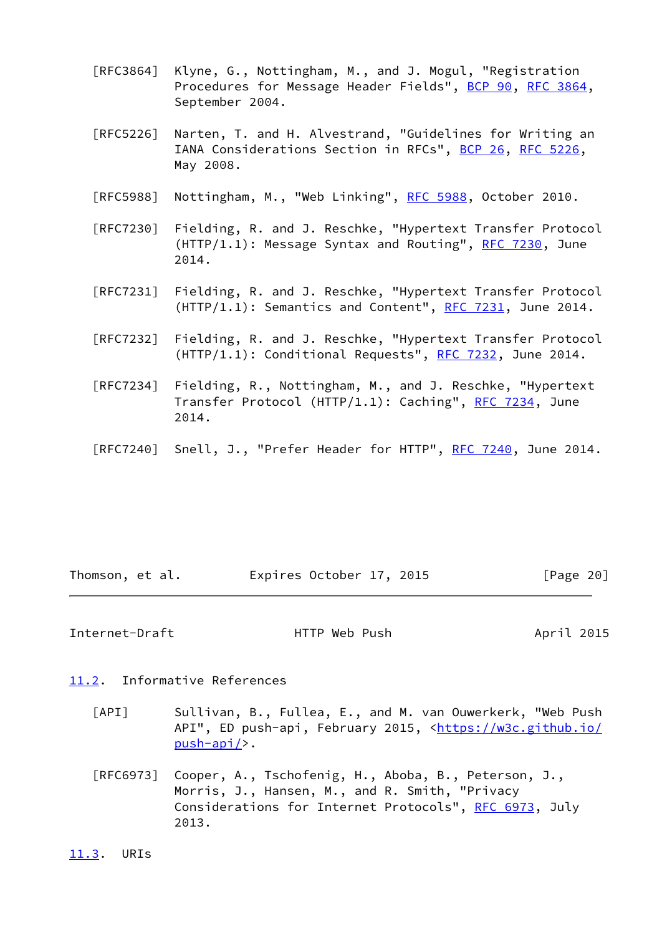- [RFC3864] Klyne, G., Nottingham, M., and J. Mogul, "Registration Procedures for Message Header Fields", [BCP 90](https://datatracker.ietf.org/doc/pdf/bcp90), [RFC 3864](https://datatracker.ietf.org/doc/pdf/rfc3864), September 2004.
- [RFC5226] Narten, T. and H. Alvestrand, "Guidelines for Writing an IANA Considerations Section in RFCs", [BCP 26](https://datatracker.ietf.org/doc/pdf/bcp26), [RFC 5226](https://datatracker.ietf.org/doc/pdf/rfc5226), May 2008.
- [RFC5988] Nottingham, M., "Web Linking", [RFC 5988](https://datatracker.ietf.org/doc/pdf/rfc5988), October 2010.
- [RFC7230] Fielding, R. and J. Reschke, "Hypertext Transfer Protocol  $(HTTP/1.1): Message Syntax and Routing", RFC 7230, June$  $(HTTP/1.1): Message Syntax and Routing", RFC 7230, June$  $(HTTP/1.1): Message Syntax and Routing", RFC 7230, June$ 2014.
- [RFC7231] Fielding, R. and J. Reschke, "Hypertext Transfer Protocol  $(HTTP/1.1):$  Semantics and Content", [RFC 7231,](https://datatracker.ietf.org/doc/pdf/rfc7231) June 2014.
- [RFC7232] Fielding, R. and J. Reschke, "Hypertext Transfer Protocol  $(HTTP/1.1): Conditional Requests", RFC 7232, June 2014.$  $(HTTP/1.1): Conditional Requests", RFC 7232, June 2014.$  $(HTTP/1.1): Conditional Requests", RFC 7232, June 2014.$
- [RFC7234] Fielding, R., Nottingham, M., and J. Reschke, "Hypertext Transfer Protocol (HTTP/1.1): Caching", [RFC 7234,](https://datatracker.ietf.org/doc/pdf/rfc7234) June 2014.
- [RFC7240] Snell, J., "Prefer Header for HTTP", [RFC 7240](https://datatracker.ietf.org/doc/pdf/rfc7240), June 2014.

| Thomson, et al. | Expires October 17, 2015 |  | [Page 20] |
|-----------------|--------------------------|--|-----------|
|-----------------|--------------------------|--|-----------|

<span id="page-22-1"></span>Internet-Draft **HTTP** Web Push April 2015

## <span id="page-22-0"></span>[11.2](#page-22-0). Informative References

- <span id="page-22-3"></span> [API] Sullivan, B., Fullea, E., and M. van Ouwerkerk, "Web Push API", ED push-api, February 2015, [<https://w3c.github.io/](https://w3c.github.io/push-api/) [push-api/>](https://w3c.github.io/push-api/).
- [RFC6973] Cooper, A., Tschofenig, H., Aboba, B., Peterson, J., Morris, J., Hansen, M., and R. Smith, "Privacy Considerations for Internet Protocols", [RFC 6973,](https://datatracker.ietf.org/doc/pdf/rfc6973) July 2013.

<span id="page-22-2"></span>[11.3](#page-22-2). URIs